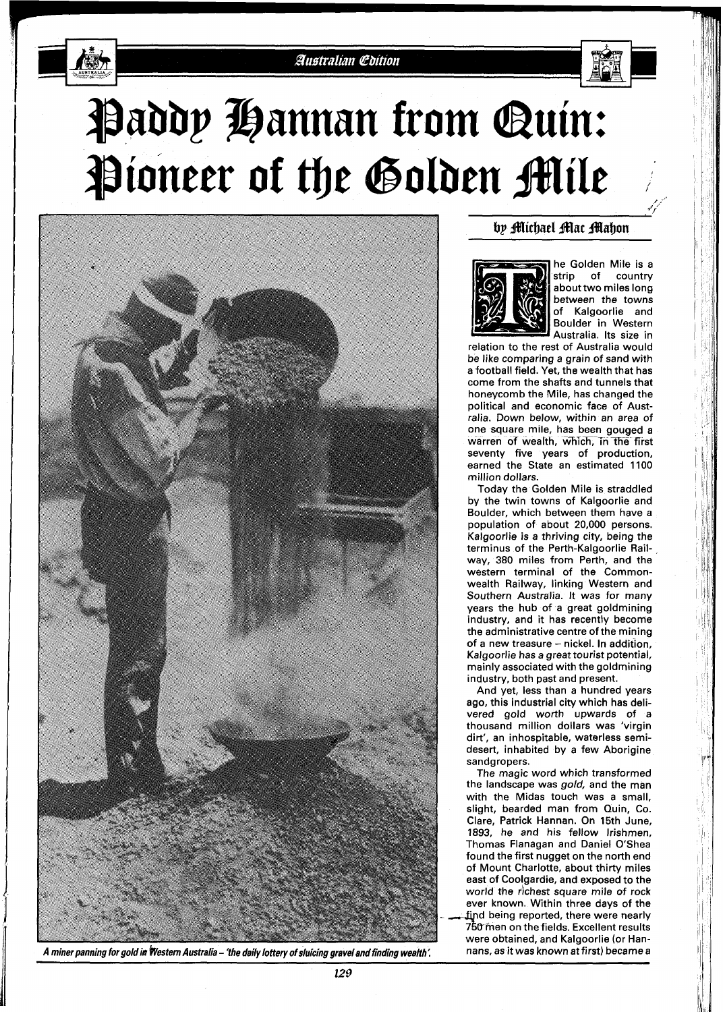





**A miner panning for gold in Western Australia – 'the daily lottery of sluicing gravel and finding wealth'. No mans, as it was known at first) became a** 

## by Michael Mac Mahon



he Golden Mile is a<br>strip of country of country about two miles long between the towns of Kalgoorlie and Boulder in Western Australia. Its size in

relation to the rest of Australia would be like comparing a grain of sand with a football field. Yet, the wealth that has come from the shafts and tunnels that honeycomb the Mile, has changed the political and economic face of Australia. Down below, within an area of one square mile, has been gouged a warren of wealth, which, in the first seventy five years of production, earned the State an estimated 1100 million dollars.

Today the Golden Mile is straddled by the twin towns of Kalgoorlie and Boulder, which between them have a population of about 20,000 persons. Kalgoorlie is a thriving city, being the terminus of the Perth-Kalgoorlie Railway, 380 miles from Perth, and the western terminal of the Commonwealth Railway, linking Western and Southern Australia. It was for many years the hub of a great goldmining industry, and it has recently become the administrative centre of the mining of a new treasure - nickel. In addition, Kalgoorlie has a great tourist potential, mainly associated with the goldmining industry, both past and present.

And yet, less than a hundred years ago, this industrial city which has delivered gold worth upwards of a thousand million dollars was 'virgin dirt', an inhospitable, waterless semidesert, inhabited by a few Aborigine sandgropers.

The magic word which transformed the landscape was gold, and the man with the Midas touch was a small, slight, bearded man from Quin, Co. Clare, Patrick Hannan. On 15th June, 1893, he and his fellow Irishmen, Thomas Flanagan and Daniel O'Shea found the first nugget on the north end of Mount Charlotte, about thirty miles east of Cooigardie, and exposed to the world the richest square mile of rock ever known. Within three davs of the find being reported, there were nearly 750 men on the fields. Excellent results were obtained, and Kalgoorlie (or Han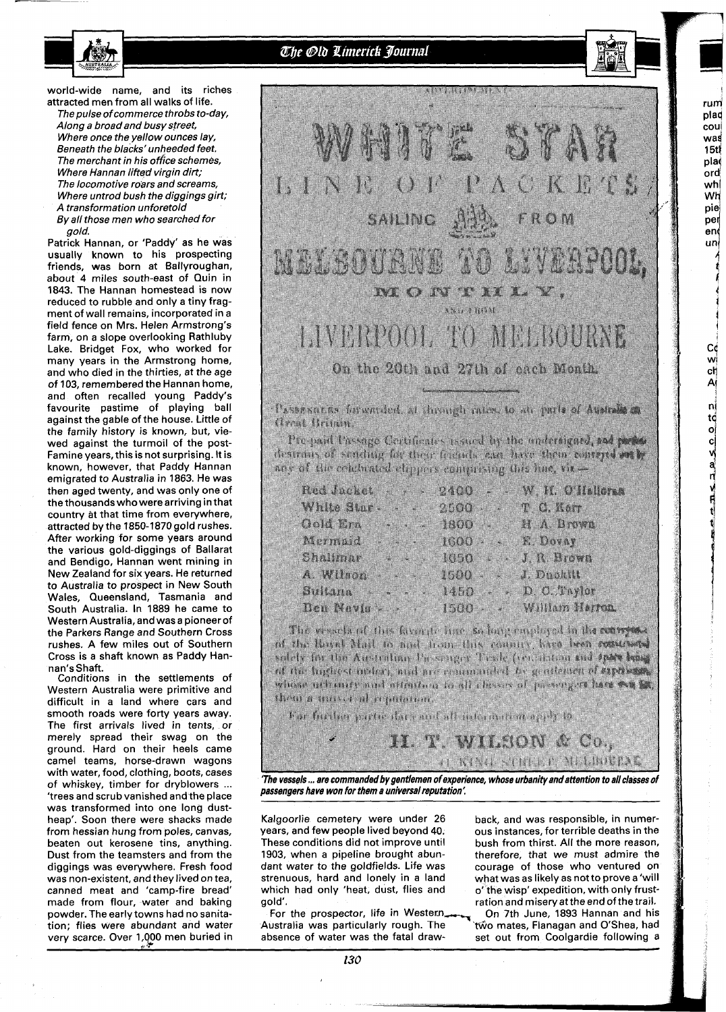The Old Limerick Journal

world-wide name, and its riches attracted men from all walks of life.

The pulse of commerce throbs to-day, Along a broad and busy street, Where once the yellow ounces lay, Beneath the blacks' unheeded feet. The merchant in his office schemes, Where Hannan lifted virgin dirt; The locomotive roars and screams, Where untrod bush the diggings girt; **A** transformation unforetold

By all those men who searched for gold.

Patrick Hannan, or 'Paddy' as he was usually known to his prospecting friends, was born at Ballyroughan, about **4** miles south-east of Quin in 1843. The Hannan homestead is now reduced to rubble and only a tiny fragment of wall remains, incorporated in a field fence on Mrs. Helen Armstrong's farm, on a slope overlooking Rathluby Lake. Bridget Fox, who worked for many years in the Armstrong home, and who died in the thirties, at the age of 103, remembered the Hannan home, and often recalled young Paddy's favourite pastime of playing ball against the gable of the house. Little of the family history is known, but, viewed against the turmoil of the post-Famine years, this is not surprising. It is known, however, that Paddy Hannan emigrated to Australia in 1863. He was then aged twenty, and was only one of the thousands who were arriving in that country at that time from everywhere, attracted by the 1850-1870gold rushes. After working for some years around the various gold-diggings of Ballarat and Bendigo, Hannan went mining in New Zealand for six years. He returned to Australia to prospect in New South Wales, Queensland, Tasmania and South Australia. In 1889 he came to Western Australia, and was a pioneer of the Parkers Range and Southern Cross rushes. A few miles out of Southern Cross is a shaft known as Paddy Hannan's Shaft.

Conditions in the settlements of Western Australia were primitive and difficult in a land where cars and smooth roads were forty years away. The first arrivals lived in tents, or merely spread their swag on the ground. Hard on their heels came camel teams, horse-drawn wagons with water, food, clothing, boots, cases<br>of whiskey, timber for dryblowers ... 'trees and scrub vanished and the place was transformed into one long dustheap'. Soon there were shacks made from hessian hung from poles, canvas, beaten out kerosene tins, anything. Dust from the teamsters and from the diggings was everywhere. Fresh food was non-existent, and they lived on tea, canned meat and 'camp-fire bread' made from flour, water and baking powder. The early towns had no sanitation; flies were abundant and water very scarce. Over 1,000 men buried in



rum plad cou was  $15t$ pla .<br>ord whļ Wh pie

per end unl

> Cé wļ

ch Αİ 'nÌ

to o c c d f

Pre-paid Passage Certificates resord by the underlighti, and period desirous of sending for their femals can have them concerts at h are of the confusion chippers comprising this line, view

|                                                                                     | ×                       | m.               |
|-------------------------------------------------------------------------------------|-------------------------|------------------|
|                                                                                     | a a shekara<br>▓        | a a shekara<br>m |
| Gerta Barrio<br><u> 2000 - San Angel</u>                                            | ma ka<br>111            |                  |
| <b>1979 - 1989 - 1990 - 1990 - 1990 - 1990</b><br><u> Harry Common State (1989)</u> | <u> Timografi</u><br>×. | .                |
| <u> Timbulan k</u>                                                                  | a a shekara             | <b>The Monte</b> |
|                                                                                     | <b>TANA</b>             |                  |
| 8 Mars 20<br>×                                                                      | a a shekara             |                  |
| ×                                                                                   |                         | William Kerna.   |

The conclusion that favorite have so barrenged in the compose of the loved Mart to and trans this county hard been concerted solety for the Australian Dassinger Trade (exception and they bear of the lughest model, and are commuted to gentlement of superses. where notineers and ottention and choose of preveryors have we be **The Community of American Community** 

har further party the control of international control

**'The vessels** ... **are commanded b y gentlemen of experience, whose urbanity and attention to all classes of passengers have won for them a universal reputation** :

H. T. WHEON & Co.,

O KING SHIDI - MARRING

Kalgoorlie cemetery were under 26 years, and few people lived beyond 40. These conditions did not improve until 1903, when a pipeline brought abundant water to the goldfields. Life was strenuous, hard and lonely in a land which had only 'heat, dust, flies and gold'.

For the prospector, life in Western, Australia was particularly rough. The absence of water was the fatal draw-

back, and was responsible, in numerous instances, for terrible deaths in the bush from thirst. All the more reason, therefore, that we must admire the courage of those who ventured on what was as likely as not to prove a 'will o' the wisp' expedition, with only frustration and misery at the end of the trail. ous in<br>
bush<br>
theref<br>
couras<br>
what<br>
what<br>
of the<br>
ration<br>
Two m<br>
set of<br>
the set of the set of the set of the set of the set of the set of the set of the set of the set of the set of the set of the set of the set of the se

On 7th June, 1893 Hannan and his two mates, Flanagan and O'Shea, had set out from Coolgardie following a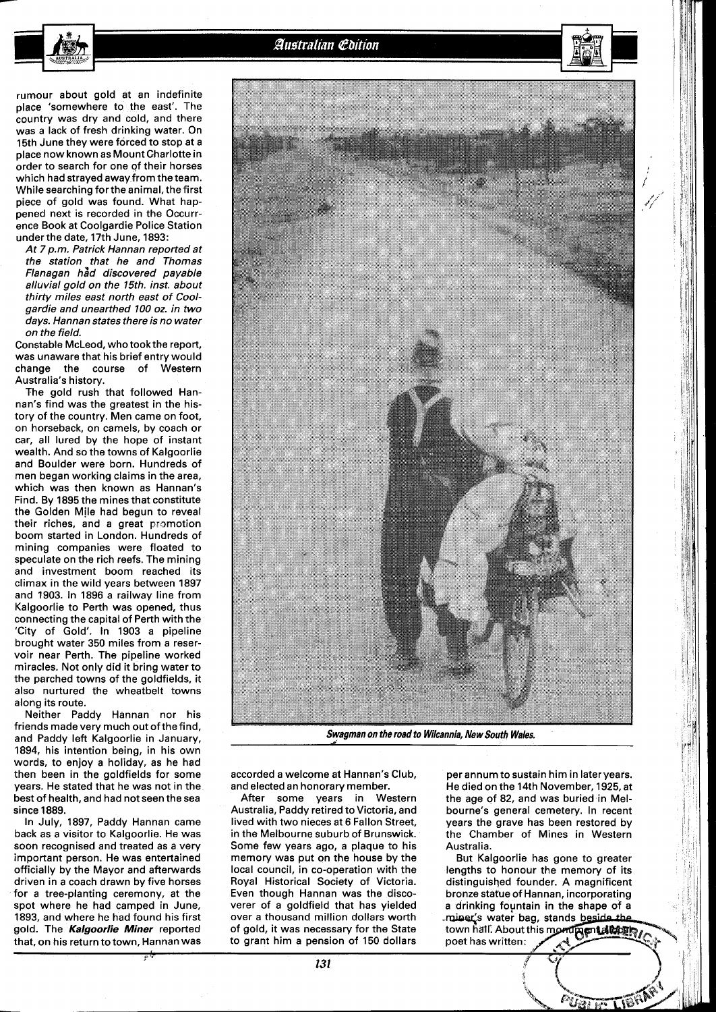Australian Edition

rumour about gold at an indefinite place 'somewhere to the east'. The country was dry and cold, and there was a lack of fresh drinking water. On 15th June they were forced to stop at a place now known as Mount Gharlotte in order to search for one of their horses which had strayed away from the team. While searching forthe animal, the first piece of gold was found. What happened next is recorded in the Occurrence Book at Coolgardie Police Station underthe date, 17th June, 1893:

At 7 p.m. Patrick Hannan reported at the station that he and Thomas Flanagan had discovered payable alluvial gold on the 15th. inst. about thirty miles east north east of Coolgardie and unearthed 100 oz. in two days. Hannan states there is no water on the field.

Constable McLeod, who took the report, was unaware that his brief entry would change the course of Western Australia's history.

The gold rush that followed Hannan's find was the greatest in the history of the country. Men came on foot, on horseback, on camels, by coach or car, all lured by the hope of instant wealth. And so the towns of Kalgoorlie and Boulder were born. Hundreds of men began working claims in the area, which was then known as Hannan's Find. By 1895 the mines that constitute the Golden Mjle had begun to reveal their riches, and a great promotion boom started in London. Hundreds of mining companies were floated to speculate on the rich reefs. The mining and investment boom reached its climax in the wild years between 1897 and 1903. In 1896 a railway line from Kalgoorlie to Perth was opened, thus connecting the capital of Perth with the 'City of Gold'. In 1903 a pipeline brought water 350 miles from a reservoir near Perth. The pipeline worked miracles. Not only did it bring water to the parched towns of the goldfields, it also nurtured the wheatbelt towns along its route.

Neither Paddy Hannan nor his friends made very much out of the find, and Paddy left Kalgoorlie in January, 1894, his intention being, in his own words, to enjoy a holiday, as he had then been in the goldfields for some years. He stated that he was not in the best of health, and had not seen the sea since 1889.

In July, 1897, Paddy Hannan came back as a visitor to Kalgoorlie. He was soon recognised and treated as a very important person. He was entertained officially by the Mayor and afterwards driven in a coach drawn by five horses for a tree-planting ceremony, at the spot where he had camped in June, 1893, and where he had found his first gold. The **Kalgoorlie Miner** reported that, on his return to town, Hannan was

accorded a welcome at Hannan's Club, and elected an honorary member.

After some years in Western Australia, Paddy retired to Victoria, and lived with two nieces at 6 Fallon Street, in the Melbourne suburb of Brunswick. Some few years ago, a plaque to his memory was put on the house by the local council, in co-operation with the Royal Historical Society of Victoria. Even though Hannan was the discoverer of a goldfield that has yielded of gold, it was necessary for the State town hall. About to grant him a pension of 150 dollars poet has written: to grant him a pension of 150 dollars

per annum to sustain him in later year's. He died on the 14th November, 1925, at the age of 82, and was buried in Melbourne's general cemetery. In recent years the grave has been restored by the Chamber of Mines in Western Australia.

But Kalgoorlie has gone to greater lengths to honour the memory of its distinguished founder. A magnificent bronze statue of Hannan, incorporating a drinking fountain in the shape of a over a thousand million dollars worth -values water bag, stands beside the of gold, it was necessary for the State town half. About this mond pentalizing





**Swagman on the road to Wilcannia, New South Wales.**